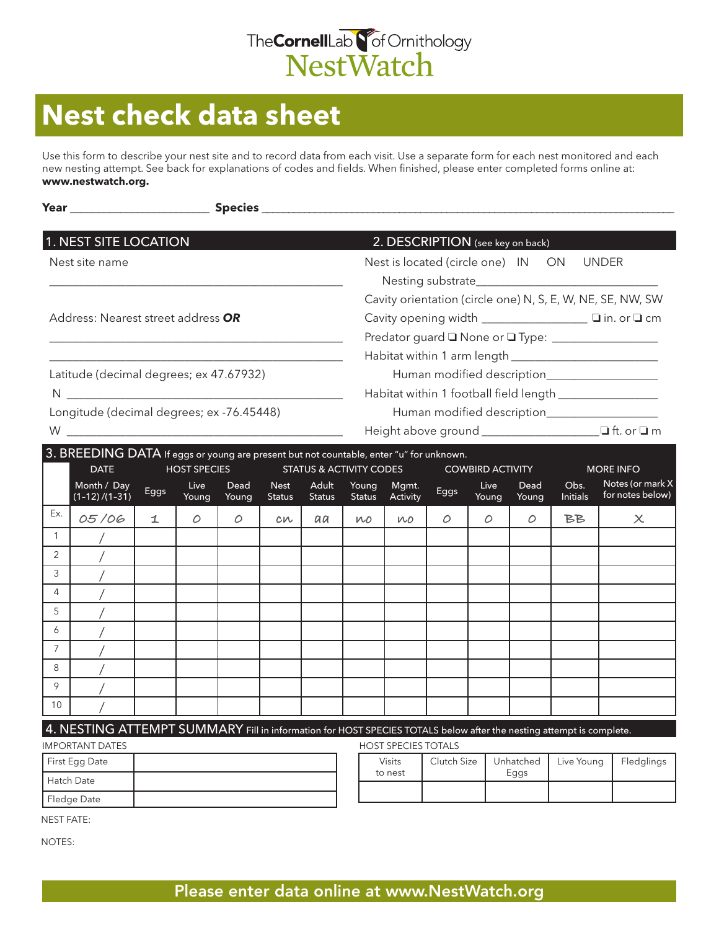

## **Nest check data sheet**

Use this form to describe your nest site and to record data from each visit. Use a separate form for each nest monitored and each new nesting attempt. See back for explanations of codes and fields. When finished, please enter completed forms online at: **www.nestwatch.org.**

|                                           | <b>1. NEST SITE LOCATION</b>                                                                                        |         |                     |               |                              |                                                         |                                                            |                                                       | 2. DESCRIPTION (see key on back) |                         |               |                          |                                      |  |  |
|-------------------------------------------|---------------------------------------------------------------------------------------------------------------------|---------|---------------------|---------------|------------------------------|---------------------------------------------------------|------------------------------------------------------------|-------------------------------------------------------|----------------------------------|-------------------------|---------------|--------------------------|--------------------------------------|--|--|
| Nest site name                            |                                                                                                                     |         |                     |               |                              |                                                         |                                                            | Nest is located (circle one) IN ON UNDER              |                                  |                         |               |                          |                                      |  |  |
|                                           |                                                                                                                     |         |                     |               |                              |                                                         |                                                            |                                                       |                                  |                         |               |                          |                                      |  |  |
|                                           |                                                                                                                     |         |                     |               |                              |                                                         | Cavity orientation (circle one) N, S, E, W, NE, SE, NW, SW |                                                       |                                  |                         |               |                          |                                      |  |  |
| Address: Nearest street address OR        |                                                                                                                     |         |                     |               |                              |                                                         |                                                            | Cavity opening width _________________ I in. or I cm  |                                  |                         |               |                          |                                      |  |  |
|                                           |                                                                                                                     |         |                     |               |                              |                                                         |                                                            | Predator guard I None or I Type: ____________________ |                                  |                         |               |                          |                                      |  |  |
|                                           |                                                                                                                     |         |                     |               |                              |                                                         |                                                            |                                                       |                                  |                         |               |                          |                                      |  |  |
| Latitude (decimal degrees; ex 47.67932)   |                                                                                                                     |         |                     |               |                              |                                                         | Human modified description____________________             |                                                       |                                  |                         |               |                          |                                      |  |  |
|                                           |                                                                                                                     |         |                     |               |                              | Habitat within 1 football field length ________________ |                                                            |                                                       |                                  |                         |               |                          |                                      |  |  |
| Longitude (decimal degrees; ex -76.45448) |                                                                                                                     |         |                     |               |                              | Human modified description____________________          |                                                            |                                                       |                                  |                         |               |                          |                                      |  |  |
|                                           |                                                                                                                     |         |                     |               |                              |                                                         |                                                            |                                                       |                                  |                         |               |                          |                                      |  |  |
|                                           | 3. BREEDING DATA If eggs or young are present but not countable, enter "u" for unknown.                             |         |                     |               |                              |                                                         |                                                            |                                                       |                                  |                         |               |                          |                                      |  |  |
|                                           | <b>DATE</b>                                                                                                         |         | <b>HOST SPECIES</b> |               |                              | <b>STATUS &amp; ACTIVITY CODES</b>                      |                                                            |                                                       |                                  | <b>COWBIRD ACTIVITY</b> |               |                          | <b>MORE INFO</b>                     |  |  |
|                                           | Month / Day<br>$(1-12)/(1-31)$                                                                                      | Eggs    | Live<br>Young       | Dead<br>Young | <b>Nest</b><br><b>Status</b> | Adult<br><b>Status</b>                                  | Young<br><b>Status</b>                                     | Mgmt.<br>Activity                                     | Eggs                             | Live<br>Young           | Dead<br>Young | Obs.<br><b>Initials</b>  | Notes (or mark X<br>for notes below) |  |  |
| Ex.                                       | 05/06                                                                                                               | $\perp$ | $\circ$             | $\circ$       | cn                           | aa                                                      | WO.                                                        | <b>WO</b>                                             | O                                | $\circ$                 | O             | BB.                      | $\times$                             |  |  |
| $\mathbf{1}$                              |                                                                                                                     |         |                     |               |                              |                                                         |                                                            |                                                       |                                  |                         |               |                          |                                      |  |  |
| 2                                         |                                                                                                                     |         |                     |               |                              |                                                         |                                                            |                                                       |                                  |                         |               |                          |                                      |  |  |
| 3                                         |                                                                                                                     |         |                     |               |                              |                                                         |                                                            |                                                       |                                  |                         |               |                          |                                      |  |  |
| $\overline{4}$                            |                                                                                                                     |         |                     |               |                              |                                                         |                                                            |                                                       |                                  |                         |               |                          |                                      |  |  |
| 5                                         |                                                                                                                     |         |                     |               |                              |                                                         |                                                            |                                                       |                                  |                         |               |                          |                                      |  |  |
| 6                                         |                                                                                                                     |         |                     |               |                              |                                                         |                                                            |                                                       |                                  |                         |               |                          |                                      |  |  |
| $\overline{7}$                            |                                                                                                                     |         |                     |               |                              |                                                         |                                                            |                                                       |                                  |                         |               |                          |                                      |  |  |
| 8                                         |                                                                                                                     |         |                     |               |                              |                                                         |                                                            |                                                       |                                  |                         |               |                          |                                      |  |  |
| 9<br>10                                   |                                                                                                                     |         |                     |               |                              |                                                         |                                                            |                                                       |                                  |                         |               |                          |                                      |  |  |
|                                           |                                                                                                                     |         |                     |               |                              |                                                         |                                                            |                                                       |                                  |                         |               |                          |                                      |  |  |
|                                           | 4. NESTING ATTEMPT SUMMARY Fill in information for HOST SPECIES TOTALS below after the nesting attempt is complete. |         |                     |               |                              |                                                         |                                                            |                                                       |                                  |                         |               |                          |                                      |  |  |
| <b>IMPORTANT DATES</b><br>First Egg Date  |                                                                                                                     |         |                     |               |                              |                                                         | <b>HOST SPECIES TOTALS</b><br>Visits                       |                                                       | Clutch Size                      |                         | Unhatched     | Fledglings<br>Live Young |                                      |  |  |
| Hatch Date                                |                                                                                                                     |         |                     |               |                              | to nest                                                 |                                                            |                                                       |                                  | Eggs                    |               |                          |                                      |  |  |
| Fledge Date                               |                                                                                                                     |         |                     |               |                              |                                                         |                                                            |                                                       |                                  |                         |               |                          |                                      |  |  |
| <b>NEST FATE:</b>                         |                                                                                                                     |         |                     |               |                              |                                                         |                                                            |                                                       |                                  |                         |               |                          |                                      |  |  |

NOTES: